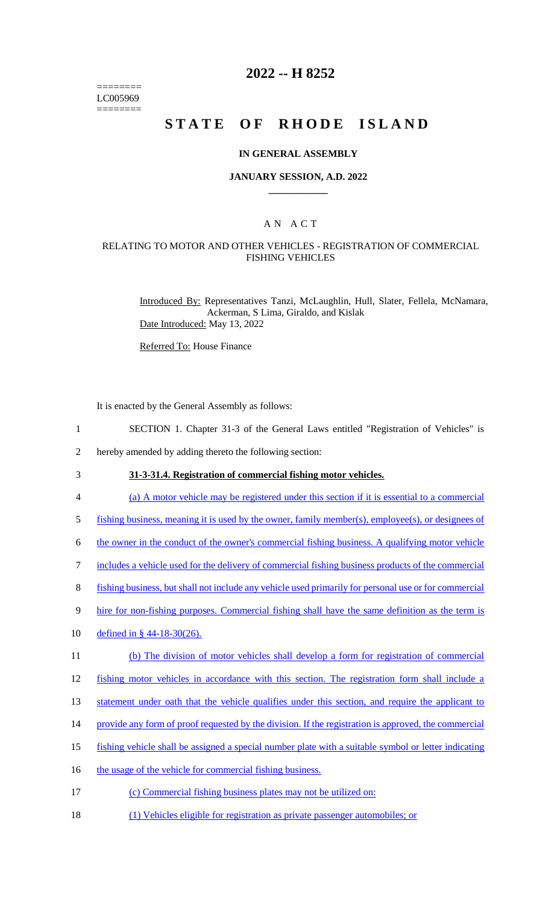======== LC005969 ========

## **2022 -- H 8252**

# **STATE OF RHODE ISLAND**

#### **IN GENERAL ASSEMBLY**

#### **JANUARY SESSION, A.D. 2022 \_\_\_\_\_\_\_\_\_\_\_\_**

## A N A C T

### RELATING TO MOTOR AND OTHER VEHICLES - REGISTRATION OF COMMERCIAL FISHING VEHICLES

Introduced By: Representatives Tanzi, McLaughlin, Hull, Slater, Fellela, McNamara, Ackerman, S Lima, Giraldo, and Kislak Date Introduced: May 13, 2022

Referred To: House Finance

It is enacted by the General Assembly as follows:

- 1 SECTION 1. Chapter 31-3 of the General Laws entitled "Registration of Vehicles" is
- 2 hereby amended by adding thereto the following section:
- 

3 **31-3-31.4. Registration of commercial fishing motor vehicles.** 

- 4 (a) A motor vehicle may be registered under this section if it is essential to a commercial
- 5 fishing business, meaning it is used by the owner, family member(s), employee(s), or designees of
- 6 the owner in the conduct of the owner's commercial fishing business. A qualifying motor vehicle
- 7 includes a vehicle used for the delivery of commercial fishing business products of the commercial
- 8 fishing business, but shall not include any vehicle used primarily for personal use or for commercial
- 9 hire for non-fishing purposes. Commercial fishing shall have the same definition as the term is
- 10 defined in § 44-18-30(26).
- 11 (b) The division of motor vehicles shall develop a form for registration of commercial
- 12 fishing motor vehicles in accordance with this section. The registration form shall include a
- 13 statement under oath that the vehicle qualifies under this section, and require the applicant to
- 14 provide any form of proof requested by the division. If the registration is approved, the commercial
- 15 fishing vehicle shall be assigned a special number plate with a suitable symbol or letter indicating
- 16 the usage of the vehicle for commercial fishing business.
- 17 (c) Commercial fishing business plates may not be utilized on:
- 18 (1) Vehicles eligible for registration as private passenger automobiles; or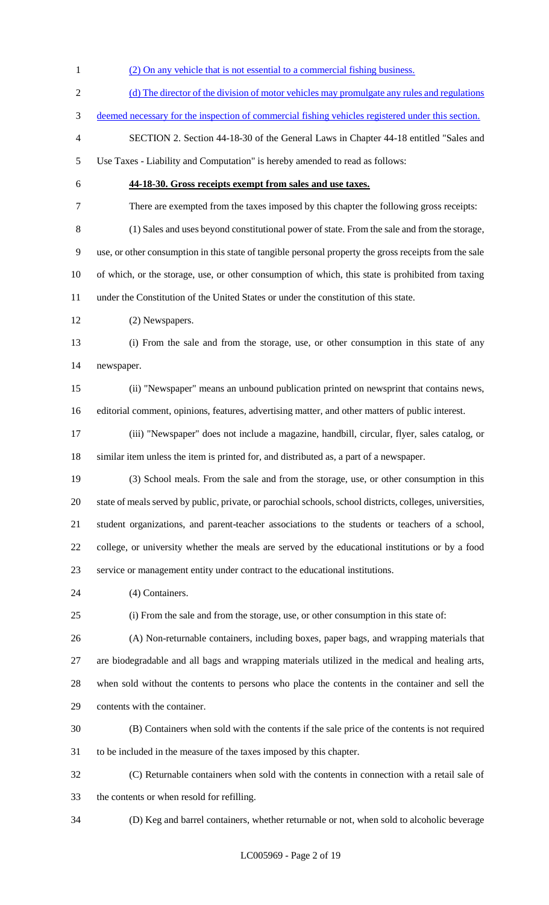1 (2) On any vehicle that is not essential to a commercial fishing business. 2 (d) The director of the division of motor vehicles may promulgate any rules and regulations deemed necessary for the inspection of commercial fishing vehicles registered under this section. SECTION 2. Section 44-18-30 of the General Laws in Chapter 44-18 entitled "Sales and Use Taxes - Liability and Computation" is hereby amended to read as follows: **44-18-30. Gross receipts exempt from sales and use taxes.** There are exempted from the taxes imposed by this chapter the following gross receipts: (1) Sales and uses beyond constitutional power of state. From the sale and from the storage, use, or other consumption in this state of tangible personal property the gross receipts from the sale of which, or the storage, use, or other consumption of which, this state is prohibited from taxing under the Constitution of the United States or under the constitution of this state. (2) Newspapers. (i) From the sale and from the storage, use, or other consumption in this state of any newspaper. (ii) "Newspaper" means an unbound publication printed on newsprint that contains news, editorial comment, opinions, features, advertising matter, and other matters of public interest. (iii) "Newspaper" does not include a magazine, handbill, circular, flyer, sales catalog, or similar item unless the item is printed for, and distributed as, a part of a newspaper. (3) School meals. From the sale and from the storage, use, or other consumption in this state of meals served by public, private, or parochial schools, school districts, colleges, universities, student organizations, and parent-teacher associations to the students or teachers of a school, college, or university whether the meals are served by the educational institutions or by a food service or management entity under contract to the educational institutions. 24 (4) Containers. (i) From the sale and from the storage, use, or other consumption in this state of: (A) Non-returnable containers, including boxes, paper bags, and wrapping materials that are biodegradable and all bags and wrapping materials utilized in the medical and healing arts, when sold without the contents to persons who place the contents in the container and sell the contents with the container. (B) Containers when sold with the contents if the sale price of the contents is not required to be included in the measure of the taxes imposed by this chapter. (C) Returnable containers when sold with the contents in connection with a retail sale of the contents or when resold for refilling. (D) Keg and barrel containers, whether returnable or not, when sold to alcoholic beverage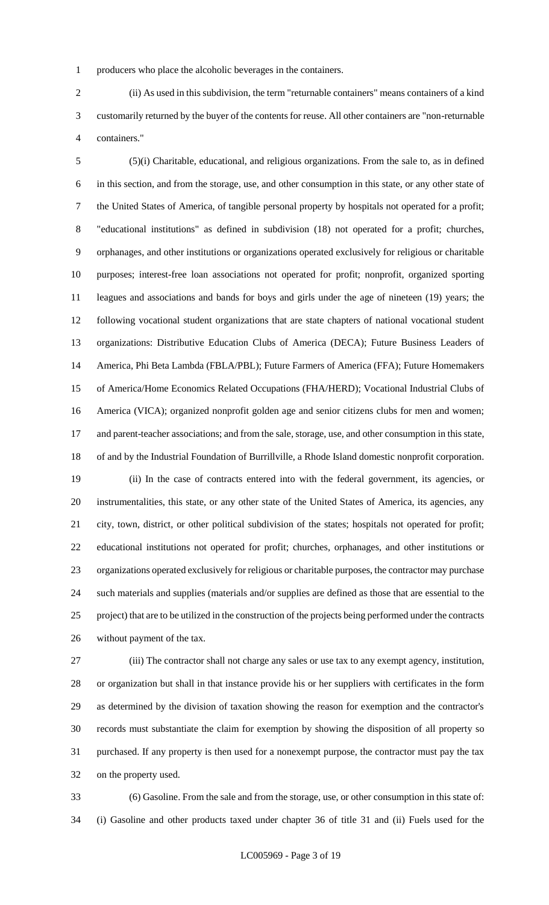producers who place the alcoholic beverages in the containers.

 (ii) As used in this subdivision, the term "returnable containers" means containers of a kind customarily returned by the buyer of the contents for reuse. All other containers are "non-returnable containers."

 (5)(i) Charitable, educational, and religious organizations. From the sale to, as in defined in this section, and from the storage, use, and other consumption in this state, or any other state of the United States of America, of tangible personal property by hospitals not operated for a profit; "educational institutions" as defined in subdivision (18) not operated for a profit; churches, orphanages, and other institutions or organizations operated exclusively for religious or charitable purposes; interest-free loan associations not operated for profit; nonprofit, organized sporting leagues and associations and bands for boys and girls under the age of nineteen (19) years; the following vocational student organizations that are state chapters of national vocational student organizations: Distributive Education Clubs of America (DECA); Future Business Leaders of America, Phi Beta Lambda (FBLA/PBL); Future Farmers of America (FFA); Future Homemakers of America/Home Economics Related Occupations (FHA/HERD); Vocational Industrial Clubs of America (VICA); organized nonprofit golden age and senior citizens clubs for men and women; 17 and parent-teacher associations; and from the sale, storage, use, and other consumption in this state, of and by the Industrial Foundation of Burrillville, a Rhode Island domestic nonprofit corporation.

 (ii) In the case of contracts entered into with the federal government, its agencies, or instrumentalities, this state, or any other state of the United States of America, its agencies, any city, town, district, or other political subdivision of the states; hospitals not operated for profit; educational institutions not operated for profit; churches, orphanages, and other institutions or organizations operated exclusively for religious or charitable purposes, the contractor may purchase such materials and supplies (materials and/or supplies are defined as those that are essential to the project) that are to be utilized in the construction of the projects being performed under the contracts without payment of the tax.

 (iii) The contractor shall not charge any sales or use tax to any exempt agency, institution, or organization but shall in that instance provide his or her suppliers with certificates in the form as determined by the division of taxation showing the reason for exemption and the contractor's records must substantiate the claim for exemption by showing the disposition of all property so purchased. If any property is then used for a nonexempt purpose, the contractor must pay the tax on the property used.

 (6) Gasoline. From the sale and from the storage, use, or other consumption in this state of: (i) Gasoline and other products taxed under chapter 36 of title 31 and (ii) Fuels used for the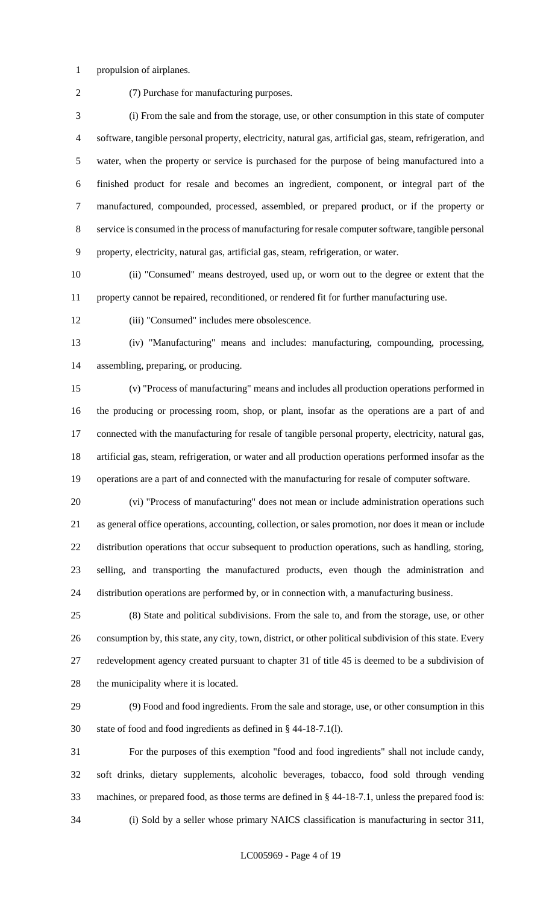propulsion of airplanes.

(7) Purchase for manufacturing purposes.

 (i) From the sale and from the storage, use, or other consumption in this state of computer software, tangible personal property, electricity, natural gas, artificial gas, steam, refrigeration, and water, when the property or service is purchased for the purpose of being manufactured into a finished product for resale and becomes an ingredient, component, or integral part of the manufactured, compounded, processed, assembled, or prepared product, or if the property or service is consumed in the process of manufacturing for resale computer software, tangible personal property, electricity, natural gas, artificial gas, steam, refrigeration, or water.

 (ii) "Consumed" means destroyed, used up, or worn out to the degree or extent that the property cannot be repaired, reconditioned, or rendered fit for further manufacturing use.

(iii) "Consumed" includes mere obsolescence.

 (iv) "Manufacturing" means and includes: manufacturing, compounding, processing, assembling, preparing, or producing.

 (v) "Process of manufacturing" means and includes all production operations performed in the producing or processing room, shop, or plant, insofar as the operations are a part of and connected with the manufacturing for resale of tangible personal property, electricity, natural gas, artificial gas, steam, refrigeration, or water and all production operations performed insofar as the operations are a part of and connected with the manufacturing for resale of computer software.

 (vi) "Process of manufacturing" does not mean or include administration operations such as general office operations, accounting, collection, or sales promotion, nor does it mean or include distribution operations that occur subsequent to production operations, such as handling, storing, selling, and transporting the manufactured products, even though the administration and distribution operations are performed by, or in connection with, a manufacturing business.

 (8) State and political subdivisions. From the sale to, and from the storage, use, or other consumption by, this state, any city, town, district, or other political subdivision of this state. Every redevelopment agency created pursuant to chapter 31 of title 45 is deemed to be a subdivision of 28 the municipality where it is located.

 (9) Food and food ingredients. From the sale and storage, use, or other consumption in this state of food and food ingredients as defined in § 44-18-7.1(l).

 For the purposes of this exemption "food and food ingredients" shall not include candy, soft drinks, dietary supplements, alcoholic beverages, tobacco, food sold through vending machines, or prepared food, as those terms are defined in § 44-18-7.1, unless the prepared food is: (i) Sold by a seller whose primary NAICS classification is manufacturing in sector 311,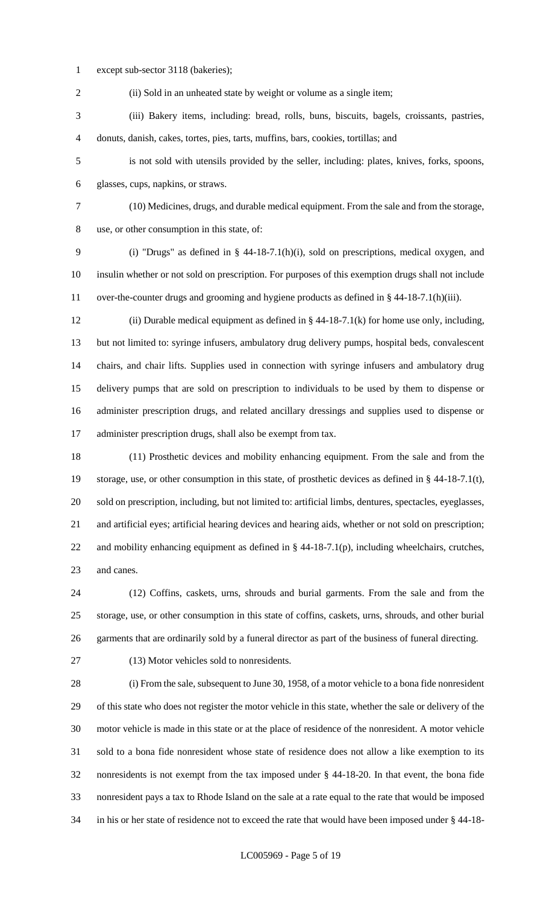except sub-sector 3118 (bakeries);

2 (ii) Sold in an unheated state by weight or volume as a single item;

 (iii) Bakery items, including: bread, rolls, buns, biscuits, bagels, croissants, pastries, donuts, danish, cakes, tortes, pies, tarts, muffins, bars, cookies, tortillas; and

 is not sold with utensils provided by the seller, including: plates, knives, forks, spoons, glasses, cups, napkins, or straws.

 (10) Medicines, drugs, and durable medical equipment. From the sale and from the storage, use, or other consumption in this state, of:

 (i) "Drugs" as defined in § 44-18-7.1(h)(i), sold on prescriptions, medical oxygen, and insulin whether or not sold on prescription. For purposes of this exemption drugs shall not include over-the-counter drugs and grooming and hygiene products as defined in § 44-18-7.1(h)(iii).

 (ii) Durable medical equipment as defined in § 44-18-7.1(k) for home use only, including, but not limited to: syringe infusers, ambulatory drug delivery pumps, hospital beds, convalescent chairs, and chair lifts. Supplies used in connection with syringe infusers and ambulatory drug delivery pumps that are sold on prescription to individuals to be used by them to dispense or administer prescription drugs, and related ancillary dressings and supplies used to dispense or administer prescription drugs, shall also be exempt from tax.

 (11) Prosthetic devices and mobility enhancing equipment. From the sale and from the storage, use, or other consumption in this state, of prosthetic devices as defined in § 44-18-7.1(t), sold on prescription, including, but not limited to: artificial limbs, dentures, spectacles, eyeglasses, and artificial eyes; artificial hearing devices and hearing aids, whether or not sold on prescription; and mobility enhancing equipment as defined in § 44-18-7.1(p), including wheelchairs, crutches, and canes.

 (12) Coffins, caskets, urns, shrouds and burial garments. From the sale and from the storage, use, or other consumption in this state of coffins, caskets, urns, shrouds, and other burial garments that are ordinarily sold by a funeral director as part of the business of funeral directing.

(13) Motor vehicles sold to nonresidents.

 (i) From the sale, subsequent to June 30, 1958, of a motor vehicle to a bona fide nonresident of this state who does not register the motor vehicle in this state, whether the sale or delivery of the motor vehicle is made in this state or at the place of residence of the nonresident. A motor vehicle sold to a bona fide nonresident whose state of residence does not allow a like exemption to its nonresidents is not exempt from the tax imposed under § 44-18-20. In that event, the bona fide nonresident pays a tax to Rhode Island on the sale at a rate equal to the rate that would be imposed in his or her state of residence not to exceed the rate that would have been imposed under § 44-18-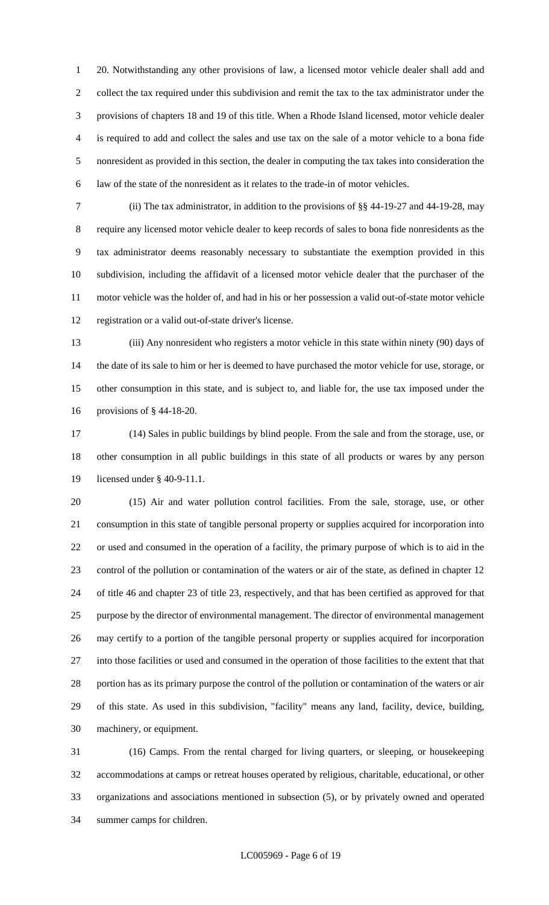20. Notwithstanding any other provisions of law, a licensed motor vehicle dealer shall add and collect the tax required under this subdivision and remit the tax to the tax administrator under the provisions of chapters 18 and 19 of this title. When a Rhode Island licensed, motor vehicle dealer is required to add and collect the sales and use tax on the sale of a motor vehicle to a bona fide nonresident as provided in this section, the dealer in computing the tax takes into consideration the law of the state of the nonresident as it relates to the trade-in of motor vehicles.

 (ii) The tax administrator, in addition to the provisions of §§ 44-19-27 and 44-19-28, may require any licensed motor vehicle dealer to keep records of sales to bona fide nonresidents as the tax administrator deems reasonably necessary to substantiate the exemption provided in this subdivision, including the affidavit of a licensed motor vehicle dealer that the purchaser of the motor vehicle was the holder of, and had in his or her possession a valid out-of-state motor vehicle registration or a valid out-of-state driver's license.

 (iii) Any nonresident who registers a motor vehicle in this state within ninety (90) days of the date of its sale to him or her is deemed to have purchased the motor vehicle for use, storage, or other consumption in this state, and is subject to, and liable for, the use tax imposed under the provisions of § 44-18-20.

 (14) Sales in public buildings by blind people. From the sale and from the storage, use, or other consumption in all public buildings in this state of all products or wares by any person licensed under § 40-9-11.1.

 (15) Air and water pollution control facilities. From the sale, storage, use, or other consumption in this state of tangible personal property or supplies acquired for incorporation into or used and consumed in the operation of a facility, the primary purpose of which is to aid in the control of the pollution or contamination of the waters or air of the state, as defined in chapter 12 of title 46 and chapter 23 of title 23, respectively, and that has been certified as approved for that purpose by the director of environmental management. The director of environmental management may certify to a portion of the tangible personal property or supplies acquired for incorporation into those facilities or used and consumed in the operation of those facilities to the extent that that portion has as its primary purpose the control of the pollution or contamination of the waters or air of this state. As used in this subdivision, "facility" means any land, facility, device, building, machinery, or equipment.

 (16) Camps. From the rental charged for living quarters, or sleeping, or housekeeping accommodations at camps or retreat houses operated by religious, charitable, educational, or other organizations and associations mentioned in subsection (5), or by privately owned and operated summer camps for children.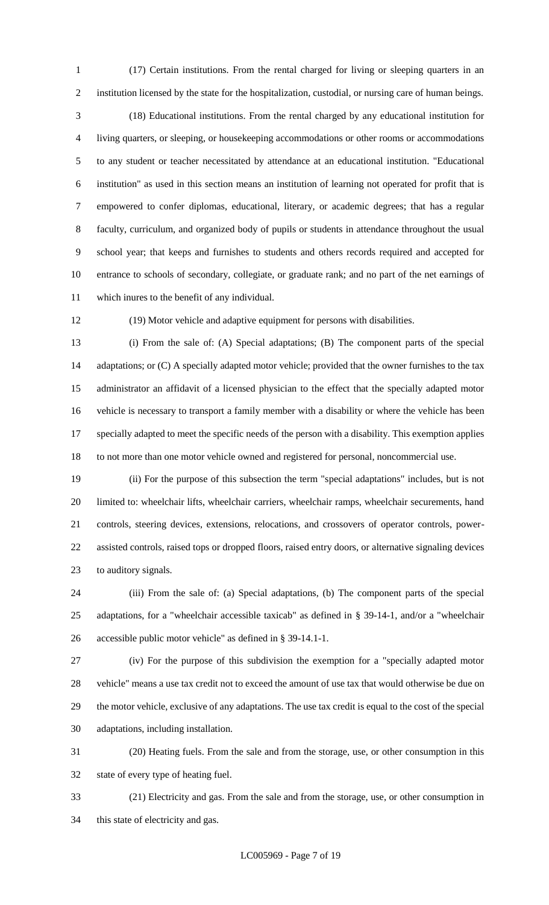(17) Certain institutions. From the rental charged for living or sleeping quarters in an institution licensed by the state for the hospitalization, custodial, or nursing care of human beings.

 (18) Educational institutions. From the rental charged by any educational institution for living quarters, or sleeping, or housekeeping accommodations or other rooms or accommodations to any student or teacher necessitated by attendance at an educational institution. "Educational institution" as used in this section means an institution of learning not operated for profit that is empowered to confer diplomas, educational, literary, or academic degrees; that has a regular faculty, curriculum, and organized body of pupils or students in attendance throughout the usual school year; that keeps and furnishes to students and others records required and accepted for entrance to schools of secondary, collegiate, or graduate rank; and no part of the net earnings of which inures to the benefit of any individual.

(19) Motor vehicle and adaptive equipment for persons with disabilities.

 (i) From the sale of: (A) Special adaptations; (B) The component parts of the special 14 adaptations; or (C) A specially adapted motor vehicle; provided that the owner furnishes to the tax administrator an affidavit of a licensed physician to the effect that the specially adapted motor vehicle is necessary to transport a family member with a disability or where the vehicle has been specially adapted to meet the specific needs of the person with a disability. This exemption applies to not more than one motor vehicle owned and registered for personal, noncommercial use.

 (ii) For the purpose of this subsection the term "special adaptations" includes, but is not limited to: wheelchair lifts, wheelchair carriers, wheelchair ramps, wheelchair securements, hand controls, steering devices, extensions, relocations, and crossovers of operator controls, power- assisted controls, raised tops or dropped floors, raised entry doors, or alternative signaling devices to auditory signals.

 (iii) From the sale of: (a) Special adaptations, (b) The component parts of the special adaptations, for a "wheelchair accessible taxicab" as defined in § 39-14-1, and/or a "wheelchair accessible public motor vehicle" as defined in § 39-14.1-1.

 (iv) For the purpose of this subdivision the exemption for a "specially adapted motor vehicle" means a use tax credit not to exceed the amount of use tax that would otherwise be due on the motor vehicle, exclusive of any adaptations. The use tax credit is equal to the cost of the special adaptations, including installation.

 (20) Heating fuels. From the sale and from the storage, use, or other consumption in this state of every type of heating fuel.

 (21) Electricity and gas. From the sale and from the storage, use, or other consumption in this state of electricity and gas.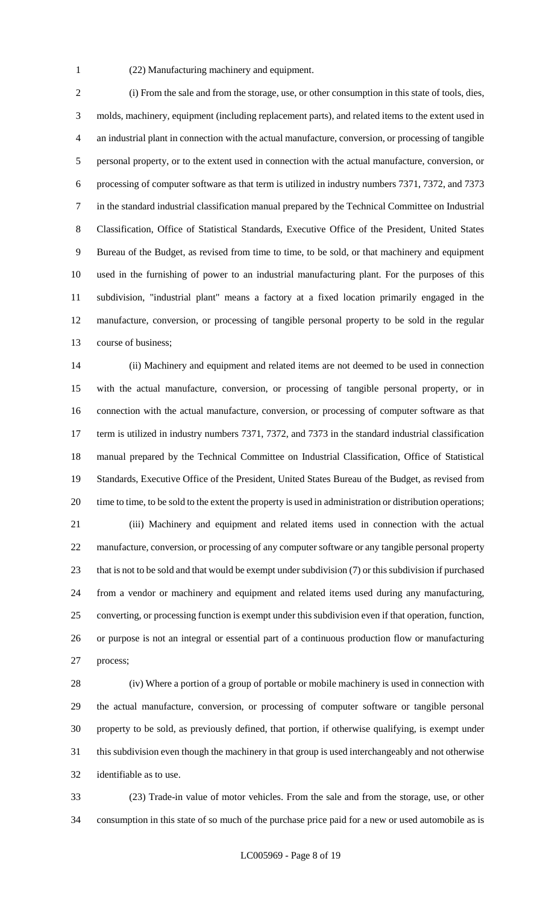(22) Manufacturing machinery and equipment.

 (i) From the sale and from the storage, use, or other consumption in this state of tools, dies, molds, machinery, equipment (including replacement parts), and related items to the extent used in an industrial plant in connection with the actual manufacture, conversion, or processing of tangible personal property, or to the extent used in connection with the actual manufacture, conversion, or processing of computer software as that term is utilized in industry numbers 7371, 7372, and 7373 in the standard industrial classification manual prepared by the Technical Committee on Industrial Classification, Office of Statistical Standards, Executive Office of the President, United States Bureau of the Budget, as revised from time to time, to be sold, or that machinery and equipment used in the furnishing of power to an industrial manufacturing plant. For the purposes of this subdivision, "industrial plant" means a factory at a fixed location primarily engaged in the manufacture, conversion, or processing of tangible personal property to be sold in the regular course of business;

 (ii) Machinery and equipment and related items are not deemed to be used in connection with the actual manufacture, conversion, or processing of tangible personal property, or in connection with the actual manufacture, conversion, or processing of computer software as that term is utilized in industry numbers 7371, 7372, and 7373 in the standard industrial classification manual prepared by the Technical Committee on Industrial Classification, Office of Statistical Standards, Executive Office of the President, United States Bureau of the Budget, as revised from 20 time to time, to be sold to the extent the property is used in administration or distribution operations; (iii) Machinery and equipment and related items used in connection with the actual manufacture, conversion, or processing of any computer software or any tangible personal property that is not to be sold and that would be exempt under subdivision (7) or this subdivision if purchased from a vendor or machinery and equipment and related items used during any manufacturing, converting, or processing function is exempt under this subdivision even if that operation, function, or purpose is not an integral or essential part of a continuous production flow or manufacturing process;

 (iv) Where a portion of a group of portable or mobile machinery is used in connection with the actual manufacture, conversion, or processing of computer software or tangible personal property to be sold, as previously defined, that portion, if otherwise qualifying, is exempt under this subdivision even though the machinery in that group is used interchangeably and not otherwise identifiable as to use.

 (23) Trade-in value of motor vehicles. From the sale and from the storage, use, or other consumption in this state of so much of the purchase price paid for a new or used automobile as is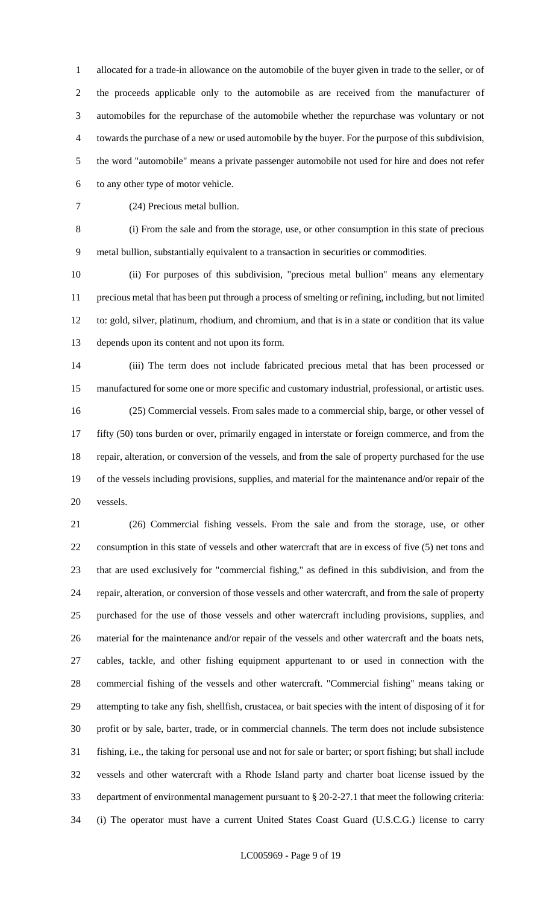allocated for a trade-in allowance on the automobile of the buyer given in trade to the seller, or of the proceeds applicable only to the automobile as are received from the manufacturer of automobiles for the repurchase of the automobile whether the repurchase was voluntary or not towards the purchase of a new or used automobile by the buyer. For the purpose of this subdivision, the word "automobile" means a private passenger automobile not used for hire and does not refer to any other type of motor vehicle.

(24) Precious metal bullion.

 (i) From the sale and from the storage, use, or other consumption in this state of precious metal bullion, substantially equivalent to a transaction in securities or commodities.

 (ii) For purposes of this subdivision, "precious metal bullion" means any elementary precious metal that has been put through a process of smelting or refining, including, but not limited to: gold, silver, platinum, rhodium, and chromium, and that is in a state or condition that its value depends upon its content and not upon its form.

 (iii) The term does not include fabricated precious metal that has been processed or manufactured for some one or more specific and customary industrial, professional, or artistic uses. (25) Commercial vessels. From sales made to a commercial ship, barge, or other vessel of fifty (50) tons burden or over, primarily engaged in interstate or foreign commerce, and from the repair, alteration, or conversion of the vessels, and from the sale of property purchased for the use of the vessels including provisions, supplies, and material for the maintenance and/or repair of the vessels.

 (26) Commercial fishing vessels. From the sale and from the storage, use, or other consumption in this state of vessels and other watercraft that are in excess of five (5) net tons and that are used exclusively for "commercial fishing," as defined in this subdivision, and from the repair, alteration, or conversion of those vessels and other watercraft, and from the sale of property purchased for the use of those vessels and other watercraft including provisions, supplies, and material for the maintenance and/or repair of the vessels and other watercraft and the boats nets, cables, tackle, and other fishing equipment appurtenant to or used in connection with the commercial fishing of the vessels and other watercraft. "Commercial fishing" means taking or attempting to take any fish, shellfish, crustacea, or bait species with the intent of disposing of it for profit or by sale, barter, trade, or in commercial channels. The term does not include subsistence fishing, i.e., the taking for personal use and not for sale or barter; or sport fishing; but shall include vessels and other watercraft with a Rhode Island party and charter boat license issued by the department of environmental management pursuant to § 20-2-27.1 that meet the following criteria: (i) The operator must have a current United States Coast Guard (U.S.C.G.) license to carry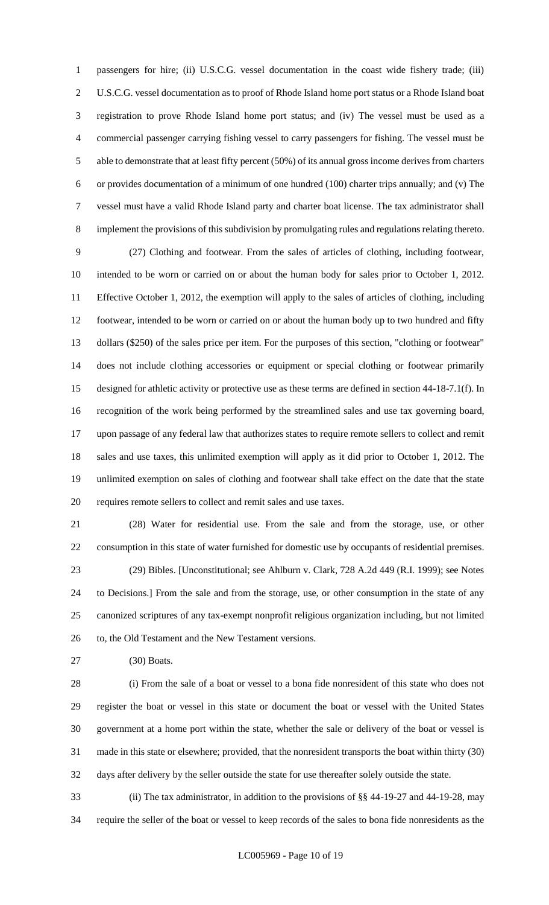passengers for hire; (ii) U.S.C.G. vessel documentation in the coast wide fishery trade; (iii) U.S.C.G. vessel documentation as to proof of Rhode Island home port status or a Rhode Island boat registration to prove Rhode Island home port status; and (iv) The vessel must be used as a commercial passenger carrying fishing vessel to carry passengers for fishing. The vessel must be able to demonstrate that at least fifty percent (50%) of its annual gross income derives from charters or provides documentation of a minimum of one hundred (100) charter trips annually; and (v) The vessel must have a valid Rhode Island party and charter boat license. The tax administrator shall implement the provisions of this subdivision by promulgating rules and regulations relating thereto.

 (27) Clothing and footwear. From the sales of articles of clothing, including footwear, intended to be worn or carried on or about the human body for sales prior to October 1, 2012. Effective October 1, 2012, the exemption will apply to the sales of articles of clothing, including footwear, intended to be worn or carried on or about the human body up to two hundred and fifty dollars (\$250) of the sales price per item. For the purposes of this section, "clothing or footwear" does not include clothing accessories or equipment or special clothing or footwear primarily designed for athletic activity or protective use as these terms are defined in section 44-18-7.1(f). In recognition of the work being performed by the streamlined sales and use tax governing board, upon passage of any federal law that authorizes states to require remote sellers to collect and remit sales and use taxes, this unlimited exemption will apply as it did prior to October 1, 2012. The unlimited exemption on sales of clothing and footwear shall take effect on the date that the state requires remote sellers to collect and remit sales and use taxes.

 (28) Water for residential use. From the sale and from the storage, use, or other consumption in this state of water furnished for domestic use by occupants of residential premises. (29) Bibles. [Unconstitutional; see Ahlburn v. Clark, 728 A.2d 449 (R.I. 1999); see Notes to Decisions.] From the sale and from the storage, use, or other consumption in the state of any canonized scriptures of any tax-exempt nonprofit religious organization including, but not limited 26 to, the Old Testament and the New Testament versions.

(30) Boats.

 (i) From the sale of a boat or vessel to a bona fide nonresident of this state who does not register the boat or vessel in this state or document the boat or vessel with the United States government at a home port within the state, whether the sale or delivery of the boat or vessel is made in this state or elsewhere; provided, that the nonresident transports the boat within thirty (30) days after delivery by the seller outside the state for use thereafter solely outside the state.

 (ii) The tax administrator, in addition to the provisions of §§ 44-19-27 and 44-19-28, may require the seller of the boat or vessel to keep records of the sales to bona fide nonresidents as the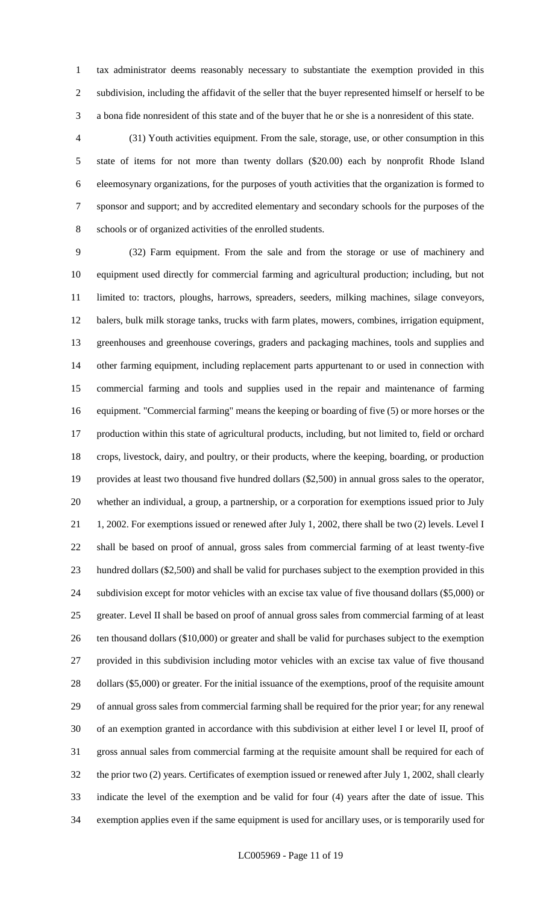tax administrator deems reasonably necessary to substantiate the exemption provided in this subdivision, including the affidavit of the seller that the buyer represented himself or herself to be a bona fide nonresident of this state and of the buyer that he or she is a nonresident of this state.

 (31) Youth activities equipment. From the sale, storage, use, or other consumption in this state of items for not more than twenty dollars (\$20.00) each by nonprofit Rhode Island eleemosynary organizations, for the purposes of youth activities that the organization is formed to sponsor and support; and by accredited elementary and secondary schools for the purposes of the schools or of organized activities of the enrolled students.

 (32) Farm equipment. From the sale and from the storage or use of machinery and equipment used directly for commercial farming and agricultural production; including, but not limited to: tractors, ploughs, harrows, spreaders, seeders, milking machines, silage conveyors, balers, bulk milk storage tanks, trucks with farm plates, mowers, combines, irrigation equipment, greenhouses and greenhouse coverings, graders and packaging machines, tools and supplies and other farming equipment, including replacement parts appurtenant to or used in connection with commercial farming and tools and supplies used in the repair and maintenance of farming equipment. "Commercial farming" means the keeping or boarding of five (5) or more horses or the production within this state of agricultural products, including, but not limited to, field or orchard crops, livestock, dairy, and poultry, or their products, where the keeping, boarding, or production provides at least two thousand five hundred dollars (\$2,500) in annual gross sales to the operator, whether an individual, a group, a partnership, or a corporation for exemptions issued prior to July 1, 2002. For exemptions issued or renewed after July 1, 2002, there shall be two (2) levels. Level I shall be based on proof of annual, gross sales from commercial farming of at least twenty-five hundred dollars (\$2,500) and shall be valid for purchases subject to the exemption provided in this subdivision except for motor vehicles with an excise tax value of five thousand dollars (\$5,000) or greater. Level II shall be based on proof of annual gross sales from commercial farming of at least ten thousand dollars (\$10,000) or greater and shall be valid for purchases subject to the exemption provided in this subdivision including motor vehicles with an excise tax value of five thousand 28 dollars (\$5,000) or greater. For the initial issuance of the exemptions, proof of the requisite amount of annual gross sales from commercial farming shall be required for the prior year; for any renewal of an exemption granted in accordance with this subdivision at either level I or level II, proof of gross annual sales from commercial farming at the requisite amount shall be required for each of the prior two (2) years. Certificates of exemption issued or renewed after July 1, 2002, shall clearly indicate the level of the exemption and be valid for four (4) years after the date of issue. This exemption applies even if the same equipment is used for ancillary uses, or is temporarily used for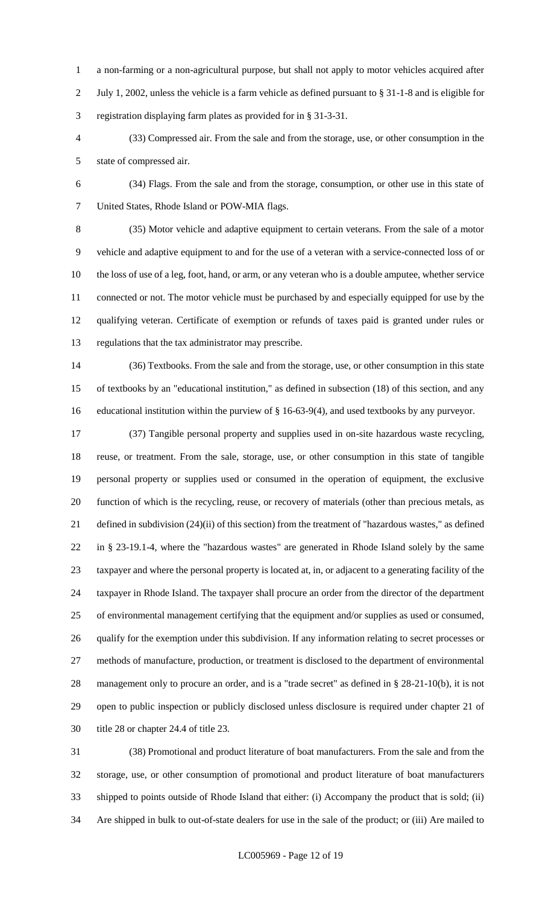a non-farming or a non-agricultural purpose, but shall not apply to motor vehicles acquired after July 1, 2002, unless the vehicle is a farm vehicle as defined pursuant to § 31-1-8 and is eligible for registration displaying farm plates as provided for in § 31-3-31.

- (33) Compressed air. From the sale and from the storage, use, or other consumption in the state of compressed air.
- 

 (34) Flags. From the sale and from the storage, consumption, or other use in this state of United States, Rhode Island or POW-MIA flags.

 (35) Motor vehicle and adaptive equipment to certain veterans. From the sale of a motor vehicle and adaptive equipment to and for the use of a veteran with a service-connected loss of or the loss of use of a leg, foot, hand, or arm, or any veteran who is a double amputee, whether service connected or not. The motor vehicle must be purchased by and especially equipped for use by the qualifying veteran. Certificate of exemption or refunds of taxes paid is granted under rules or regulations that the tax administrator may prescribe.

 (36) Textbooks. From the sale and from the storage, use, or other consumption in this state of textbooks by an "educational institution," as defined in subsection (18) of this section, and any educational institution within the purview of § 16-63-9(4), and used textbooks by any purveyor.

 (37) Tangible personal property and supplies used in on-site hazardous waste recycling, reuse, or treatment. From the sale, storage, use, or other consumption in this state of tangible personal property or supplies used or consumed in the operation of equipment, the exclusive function of which is the recycling, reuse, or recovery of materials (other than precious metals, as defined in subdivision (24)(ii) of this section) from the treatment of "hazardous wastes," as defined in § 23-19.1-4, where the "hazardous wastes" are generated in Rhode Island solely by the same taxpayer and where the personal property is located at, in, or adjacent to a generating facility of the taxpayer in Rhode Island. The taxpayer shall procure an order from the director of the department of environmental management certifying that the equipment and/or supplies as used or consumed, qualify for the exemption under this subdivision. If any information relating to secret processes or methods of manufacture, production, or treatment is disclosed to the department of environmental management only to procure an order, and is a "trade secret" as defined in § 28-21-10(b), it is not open to public inspection or publicly disclosed unless disclosure is required under chapter 21 of title 28 or chapter 24.4 of title 23.

 (38) Promotional and product literature of boat manufacturers. From the sale and from the storage, use, or other consumption of promotional and product literature of boat manufacturers shipped to points outside of Rhode Island that either: (i) Accompany the product that is sold; (ii) Are shipped in bulk to out-of-state dealers for use in the sale of the product; or (iii) Are mailed to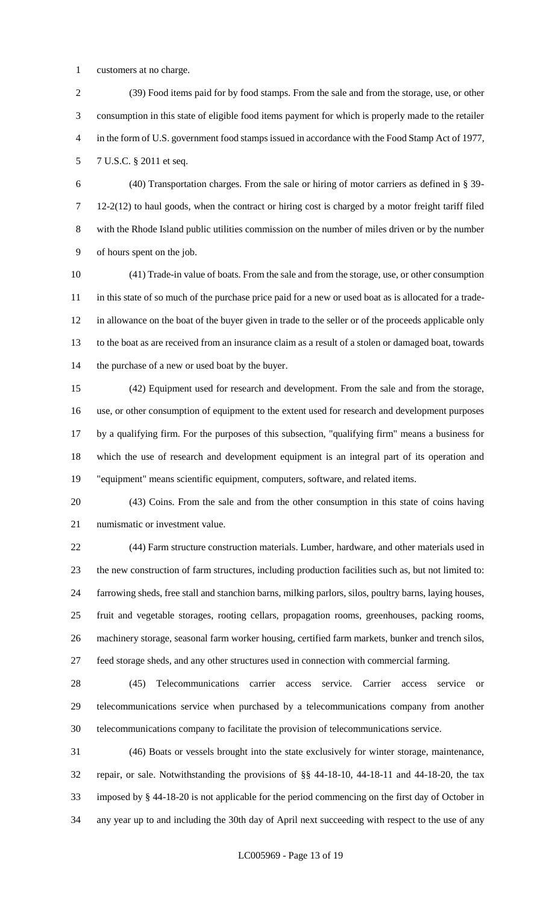customers at no charge.

 (39) Food items paid for by food stamps. From the sale and from the storage, use, or other consumption in this state of eligible food items payment for which is properly made to the retailer in the form of U.S. government food stamps issued in accordance with the Food Stamp Act of 1977, 7 U.S.C. § 2011 et seq.

 (40) Transportation charges. From the sale or hiring of motor carriers as defined in § 39- 12-2(12) to haul goods, when the contract or hiring cost is charged by a motor freight tariff filed with the Rhode Island public utilities commission on the number of miles driven or by the number of hours spent on the job.

 (41) Trade-in value of boats. From the sale and from the storage, use, or other consumption 11 in this state of so much of the purchase price paid for a new or used boat as is allocated for a trade- in allowance on the boat of the buyer given in trade to the seller or of the proceeds applicable only to the boat as are received from an insurance claim as a result of a stolen or damaged boat, towards the purchase of a new or used boat by the buyer.

 (42) Equipment used for research and development. From the sale and from the storage, use, or other consumption of equipment to the extent used for research and development purposes by a qualifying firm. For the purposes of this subsection, "qualifying firm" means a business for which the use of research and development equipment is an integral part of its operation and "equipment" means scientific equipment, computers, software, and related items.

 (43) Coins. From the sale and from the other consumption in this state of coins having numismatic or investment value.

 (44) Farm structure construction materials. Lumber, hardware, and other materials used in the new construction of farm structures, including production facilities such as, but not limited to: farrowing sheds, free stall and stanchion barns, milking parlors, silos, poultry barns, laying houses, fruit and vegetable storages, rooting cellars, propagation rooms, greenhouses, packing rooms, machinery storage, seasonal farm worker housing, certified farm markets, bunker and trench silos, feed storage sheds, and any other structures used in connection with commercial farming.

 (45) Telecommunications carrier access service. Carrier access service or telecommunications service when purchased by a telecommunications company from another telecommunications company to facilitate the provision of telecommunications service.

 (46) Boats or vessels brought into the state exclusively for winter storage, maintenance, repair, or sale. Notwithstanding the provisions of §§ 44-18-10, 44-18-11 and 44-18-20, the tax imposed by § 44-18-20 is not applicable for the period commencing on the first day of October in any year up to and including the 30th day of April next succeeding with respect to the use of any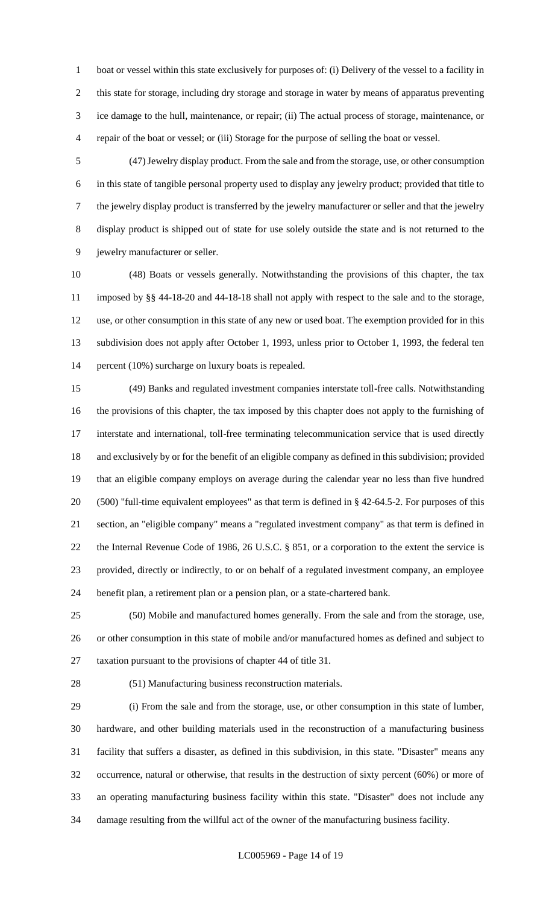boat or vessel within this state exclusively for purposes of: (i) Delivery of the vessel to a facility in this state for storage, including dry storage and storage in water by means of apparatus preventing ice damage to the hull, maintenance, or repair; (ii) The actual process of storage, maintenance, or repair of the boat or vessel; or (iii) Storage for the purpose of selling the boat or vessel.

 (47) Jewelry display product. From the sale and from the storage, use, or other consumption in this state of tangible personal property used to display any jewelry product; provided that title to the jewelry display product is transferred by the jewelry manufacturer or seller and that the jewelry display product is shipped out of state for use solely outside the state and is not returned to the jewelry manufacturer or seller.

 (48) Boats or vessels generally. Notwithstanding the provisions of this chapter, the tax imposed by §§ 44-18-20 and 44-18-18 shall not apply with respect to the sale and to the storage, use, or other consumption in this state of any new or used boat. The exemption provided for in this subdivision does not apply after October 1, 1993, unless prior to October 1, 1993, the federal ten percent (10%) surcharge on luxury boats is repealed.

 (49) Banks and regulated investment companies interstate toll-free calls. Notwithstanding the provisions of this chapter, the tax imposed by this chapter does not apply to the furnishing of interstate and international, toll-free terminating telecommunication service that is used directly and exclusively by or for the benefit of an eligible company as defined in this subdivision; provided that an eligible company employs on average during the calendar year no less than five hundred (500) "full-time equivalent employees" as that term is defined in § 42-64.5-2. For purposes of this section, an "eligible company" means a "regulated investment company" as that term is defined in the Internal Revenue Code of 1986, 26 U.S.C. § 851, or a corporation to the extent the service is provided, directly or indirectly, to or on behalf of a regulated investment company, an employee benefit plan, a retirement plan or a pension plan, or a state-chartered bank.

 (50) Mobile and manufactured homes generally. From the sale and from the storage, use, or other consumption in this state of mobile and/or manufactured homes as defined and subject to taxation pursuant to the provisions of chapter 44 of title 31.

(51) Manufacturing business reconstruction materials.

 (i) From the sale and from the storage, use, or other consumption in this state of lumber, hardware, and other building materials used in the reconstruction of a manufacturing business facility that suffers a disaster, as defined in this subdivision, in this state. "Disaster" means any occurrence, natural or otherwise, that results in the destruction of sixty percent (60%) or more of an operating manufacturing business facility within this state. "Disaster" does not include any damage resulting from the willful act of the owner of the manufacturing business facility.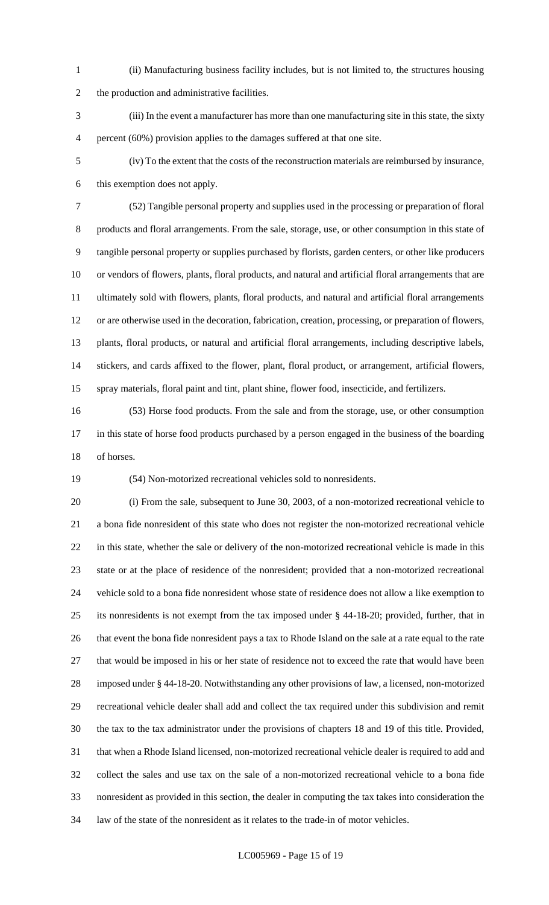(ii) Manufacturing business facility includes, but is not limited to, the structures housing the production and administrative facilities.

 (iii) In the event a manufacturer has more than one manufacturing site in this state, the sixty percent (60%) provision applies to the damages suffered at that one site.

 (iv) To the extent that the costs of the reconstruction materials are reimbursed by insurance, this exemption does not apply.

 (52) Tangible personal property and supplies used in the processing or preparation of floral products and floral arrangements. From the sale, storage, use, or other consumption in this state of tangible personal property or supplies purchased by florists, garden centers, or other like producers or vendors of flowers, plants, floral products, and natural and artificial floral arrangements that are ultimately sold with flowers, plants, floral products, and natural and artificial floral arrangements or are otherwise used in the decoration, fabrication, creation, processing, or preparation of flowers, plants, floral products, or natural and artificial floral arrangements, including descriptive labels, stickers, and cards affixed to the flower, plant, floral product, or arrangement, artificial flowers, spray materials, floral paint and tint, plant shine, flower food, insecticide, and fertilizers.

 (53) Horse food products. From the sale and from the storage, use, or other consumption in this state of horse food products purchased by a person engaged in the business of the boarding of horses.

(54) Non-motorized recreational vehicles sold to nonresidents.

 (i) From the sale, subsequent to June 30, 2003, of a non-motorized recreational vehicle to a bona fide nonresident of this state who does not register the non-motorized recreational vehicle in this state, whether the sale or delivery of the non-motorized recreational vehicle is made in this state or at the place of residence of the nonresident; provided that a non-motorized recreational vehicle sold to a bona fide nonresident whose state of residence does not allow a like exemption to its nonresidents is not exempt from the tax imposed under § 44-18-20; provided, further, that in that event the bona fide nonresident pays a tax to Rhode Island on the sale at a rate equal to the rate that would be imposed in his or her state of residence not to exceed the rate that would have been imposed under § 44-18-20. Notwithstanding any other provisions of law, a licensed, non-motorized recreational vehicle dealer shall add and collect the tax required under this subdivision and remit the tax to the tax administrator under the provisions of chapters 18 and 19 of this title. Provided, that when a Rhode Island licensed, non-motorized recreational vehicle dealer is required to add and collect the sales and use tax on the sale of a non-motorized recreational vehicle to a bona fide nonresident as provided in this section, the dealer in computing the tax takes into consideration the law of the state of the nonresident as it relates to the trade-in of motor vehicles.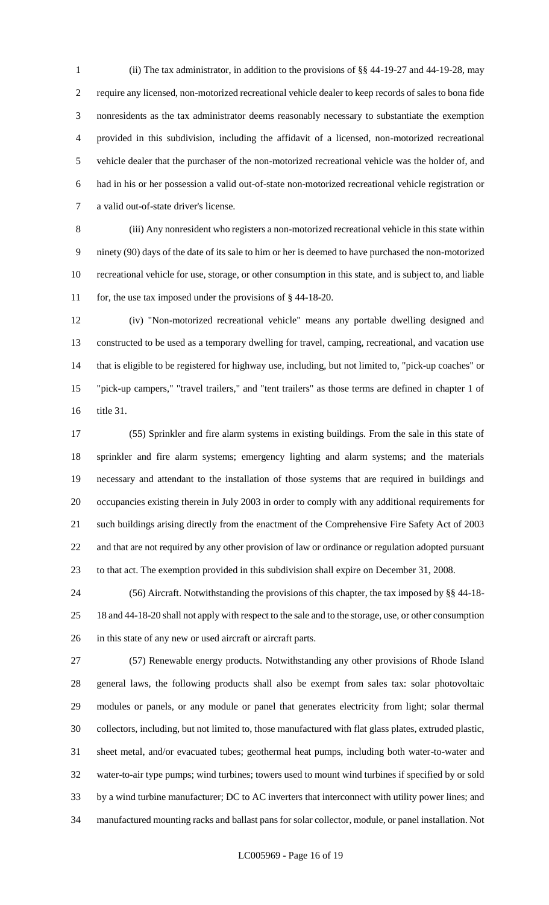(ii) The tax administrator, in addition to the provisions of §§ 44-19-27 and 44-19-28, may require any licensed, non-motorized recreational vehicle dealer to keep records of sales to bona fide nonresidents as the tax administrator deems reasonably necessary to substantiate the exemption provided in this subdivision, including the affidavit of a licensed, non-motorized recreational vehicle dealer that the purchaser of the non-motorized recreational vehicle was the holder of, and had in his or her possession a valid out-of-state non-motorized recreational vehicle registration or a valid out-of-state driver's license.

 (iii) Any nonresident who registers a non-motorized recreational vehicle in this state within ninety (90) days of the date of its sale to him or her is deemed to have purchased the non-motorized recreational vehicle for use, storage, or other consumption in this state, and is subject to, and liable for, the use tax imposed under the provisions of § 44-18-20.

 (iv) "Non-motorized recreational vehicle" means any portable dwelling designed and constructed to be used as a temporary dwelling for travel, camping, recreational, and vacation use that is eligible to be registered for highway use, including, but not limited to, "pick-up coaches" or "pick-up campers," "travel trailers," and "tent trailers" as those terms are defined in chapter 1 of title 31.

 (55) Sprinkler and fire alarm systems in existing buildings. From the sale in this state of sprinkler and fire alarm systems; emergency lighting and alarm systems; and the materials necessary and attendant to the installation of those systems that are required in buildings and occupancies existing therein in July 2003 in order to comply with any additional requirements for such buildings arising directly from the enactment of the Comprehensive Fire Safety Act of 2003 and that are not required by any other provision of law or ordinance or regulation adopted pursuant to that act. The exemption provided in this subdivision shall expire on December 31, 2008.

 (56) Aircraft. Notwithstanding the provisions of this chapter, the tax imposed by §§ 44-18- 18 and 44-18-20 shall not apply with respect to the sale and to the storage, use, or other consumption in this state of any new or used aircraft or aircraft parts.

 (57) Renewable energy products. Notwithstanding any other provisions of Rhode Island general laws, the following products shall also be exempt from sales tax: solar photovoltaic modules or panels, or any module or panel that generates electricity from light; solar thermal collectors, including, but not limited to, those manufactured with flat glass plates, extruded plastic, sheet metal, and/or evacuated tubes; geothermal heat pumps, including both water-to-water and water-to-air type pumps; wind turbines; towers used to mount wind turbines if specified by or sold by a wind turbine manufacturer; DC to AC inverters that interconnect with utility power lines; and manufactured mounting racks and ballast pans for solar collector, module, or panel installation. Not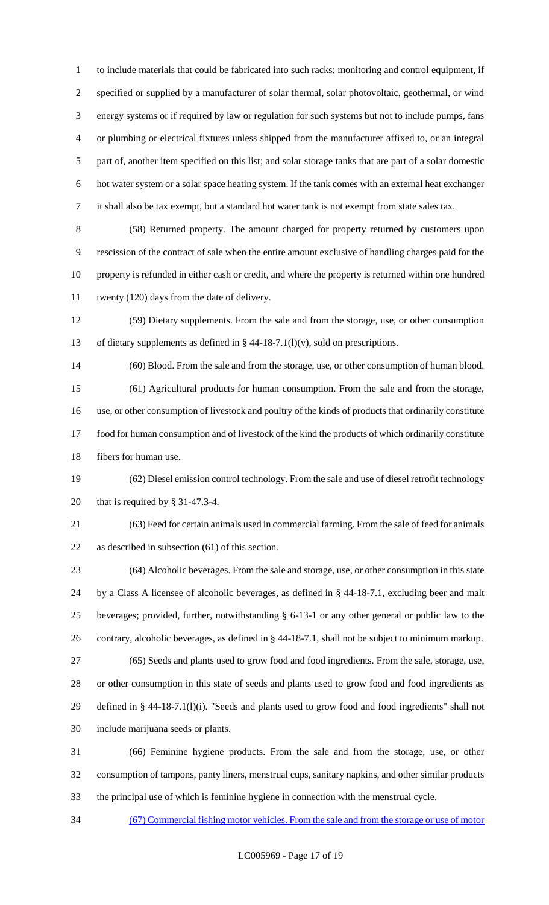to include materials that could be fabricated into such racks; monitoring and control equipment, if specified or supplied by a manufacturer of solar thermal, solar photovoltaic, geothermal, or wind energy systems or if required by law or regulation for such systems but not to include pumps, fans or plumbing or electrical fixtures unless shipped from the manufacturer affixed to, or an integral part of, another item specified on this list; and solar storage tanks that are part of a solar domestic hot water system or a solar space heating system. If the tank comes with an external heat exchanger it shall also be tax exempt, but a standard hot water tank is not exempt from state sales tax.

 (58) Returned property. The amount charged for property returned by customers upon rescission of the contract of sale when the entire amount exclusive of handling charges paid for the property is refunded in either cash or credit, and where the property is returned within one hundred twenty (120) days from the date of delivery.

 (59) Dietary supplements. From the sale and from the storage, use, or other consumption 13 of dietary supplements as defined in  $\S$  44-18-7.1(l)(v), sold on prescriptions.

 (60) Blood. From the sale and from the storage, use, or other consumption of human blood. (61) Agricultural products for human consumption. From the sale and from the storage, use, or other consumption of livestock and poultry of the kinds of products that ordinarily constitute food for human consumption and of livestock of the kind the products of which ordinarily constitute fibers for human use.

 (62) Diesel emission control technology. From the sale and use of diesel retrofit technology that is required by § 31-47.3-4.

 (63) Feed for certain animals used in commercial farming. From the sale of feed for animals as described in subsection (61) of this section.

 (64) Alcoholic beverages. From the sale and storage, use, or other consumption in this state by a Class A licensee of alcoholic beverages, as defined in § 44-18-7.1, excluding beer and malt beverages; provided, further, notwithstanding § 6-13-1 or any other general or public law to the contrary, alcoholic beverages, as defined in § 44-18-7.1, shall not be subject to minimum markup. (65) Seeds and plants used to grow food and food ingredients. From the sale, storage, use, or other consumption in this state of seeds and plants used to grow food and food ingredients as defined in § 44-18-7.1(l)(i). "Seeds and plants used to grow food and food ingredients" shall not include marijuana seeds or plants.

 (66) Feminine hygiene products. From the sale and from the storage, use, or other consumption of tampons, panty liners, menstrual cups, sanitary napkins, and other similar products the principal use of which is feminine hygiene in connection with the menstrual cycle.

(67) Commercial fishing motor vehicles. From the sale and from the storage or use of motor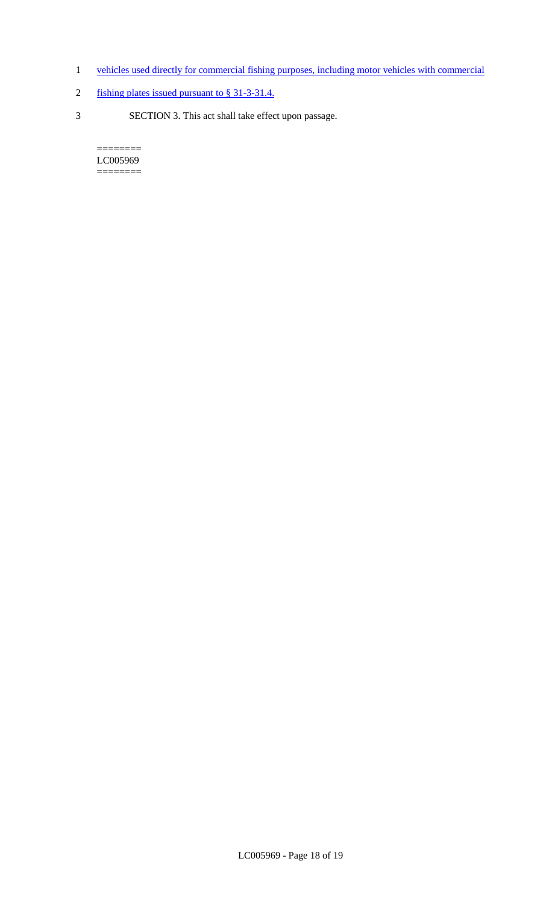- 1 vehicles used directly for commercial fishing purposes, including motor vehicles with commercial
- 2 fishing plates issued pursuant to § 31-3-31.4.
- 3 SECTION 3. This act shall take effect upon passage.

 $=$ LC005969 ========